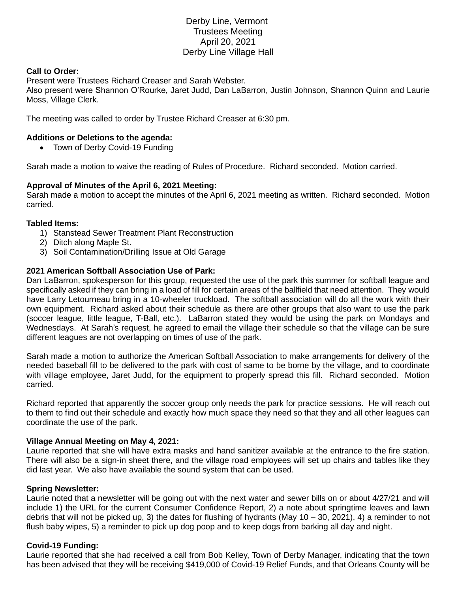# Derby Line, Vermont Trustees Meeting April 20, 2021 Derby Line Village Hall

## **Call to Order:**

Present were Trustees Richard Creaser and Sarah Webster.

Also present were Shannon O'Rourke, Jaret Judd, Dan LaBarron, Justin Johnson, Shannon Quinn and Laurie Moss, Village Clerk.

The meeting was called to order by Trustee Richard Creaser at 6:30 pm.

## **Additions or Deletions to the agenda:**

• Town of Derby Covid-19 Funding

Sarah made a motion to waive the reading of Rules of Procedure. Richard seconded. Motion carried.

## **Approval of Minutes of the April 6, 2021 Meeting:**

Sarah made a motion to accept the minutes of the April 6, 2021 meeting as written. Richard seconded. Motion carried.

#### **Tabled Items:**

- 1) Stanstead Sewer Treatment Plant Reconstruction
- 2) Ditch along Maple St.
- 3) Soil Contamination/Drilling Issue at Old Garage

#### **2021 American Softball Association Use of Park:**

Dan LaBarron, spokesperson for this group, requested the use of the park this summer for softball league and specifically asked if they can bring in a load of fill for certain areas of the ballfield that need attention. They would have Larry Letourneau bring in a 10-wheeler truckload. The softball association will do all the work with their own equipment. Richard asked about their schedule as there are other groups that also want to use the park (soccer league, little league, T-Ball, etc.). LaBarron stated they would be using the park on Mondays and Wednesdays. At Sarah's request, he agreed to email the village their schedule so that the village can be sure different leagues are not overlapping on times of use of the park.

Sarah made a motion to authorize the American Softball Association to make arrangements for delivery of the needed baseball fill to be delivered to the park with cost of same to be borne by the village, and to coordinate with village employee, Jaret Judd, for the equipment to properly spread this fill. Richard seconded. Motion carried.

Richard reported that apparently the soccer group only needs the park for practice sessions. He will reach out to them to find out their schedule and exactly how much space they need so that they and all other leagues can coordinate the use of the park.

#### **Village Annual Meeting on May 4, 2021:**

Laurie reported that she will have extra masks and hand sanitizer available at the entrance to the fire station. There will also be a sign-in sheet there, and the village road employees will set up chairs and tables like they did last year. We also have available the sound system that can be used.

#### **Spring Newsletter:**

Laurie noted that a newsletter will be going out with the next water and sewer bills on or about 4/27/21 and will include 1) the URL for the current Consumer Confidence Report, 2) a note about springtime leaves and lawn debris that will not be picked up, 3) the dates for flushing of hydrants (May  $10 - 30$ , 2021), 4) a reminder to not flush baby wipes, 5) a reminder to pick up dog poop and to keep dogs from barking all day and night.

#### **Covid-19 Funding:**

Laurie reported that she had received a call from Bob Kelley, Town of Derby Manager, indicating that the town has been advised that they will be receiving \$419,000 of Covid-19 Relief Funds, and that Orleans County will be